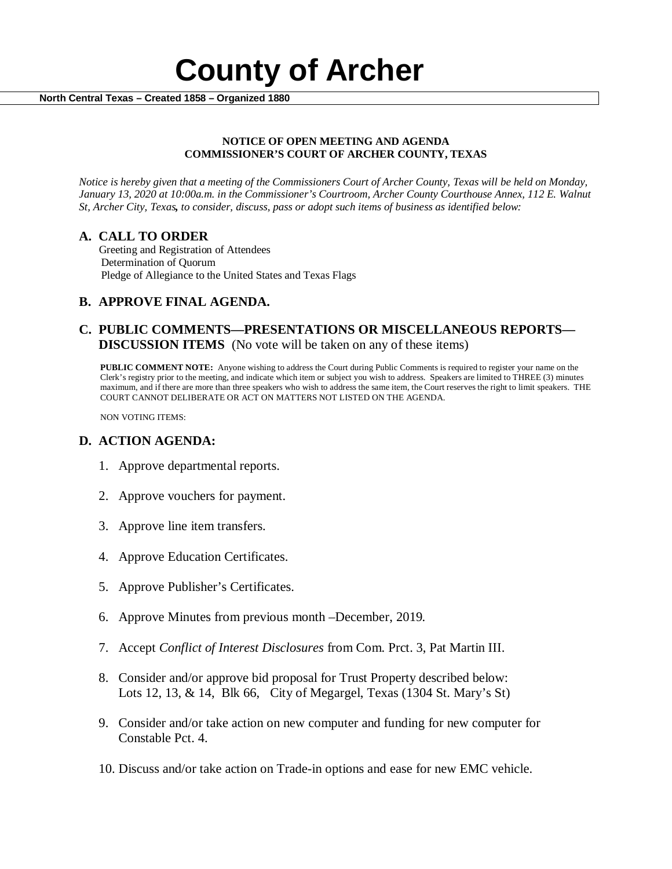

#### **NOTICE OF OPEN MEETING AND AGENDA COMMISSIONER'S COURT OF ARCHER COUNTY, TEXAS**

*Notice is hereby given that a meeting of the Commissioners Court of Archer County, Texas will be held on Monday, January 13, 2020 at 10:00a.m. in the Commissioner's Courtroom, Archer County Courthouse Annex, 112 E. Walnut St, Archer City, Texas, to consider, discuss, pass or adopt such items of business as identified below:*

**A. CALL TO ORDER** Greeting and Registration of Attendees Determination of Quorum Pledge of Allegiance to the United States and Texas Flags

# **B. APPROVE FINAL AGENDA.**

# **C. PUBLIC COMMENTS—PRESENTATIONS OR MISCELLANEOUS REPORTS— DISCUSSION ITEMS** (No vote will be taken on any of these items)

**PUBLIC COMMENT NOTE:** Anyone wishing to address the Court during Public Comments is required to register your name on the Clerk's registry prior to the meeting, and indicate which item or subject you wish to address. Speakers are limited to THREE (3) minutes maximum, and if there are more than three speakers who wish to address the same item, the Court reserves the right to limit speakers. THE COURT CANNOT DELIBERATE OR ACT ON MATTERS NOT LISTED ON THE AGENDA.

NON VOTING ITEMS:

### **D. ACTION AGENDA:**

- 1. Approve departmental reports.
- 2. Approve vouchers for payment.
- 3. Approve line item transfers.
- 4. Approve Education Certificates.
- 5. Approve Publisher's Certificates.
- 6. Approve Minutes from previous month –December, 2019*.*
- 7. Accept *Conflict of Interest Disclosures* from Com. Prct. 3, Pat Martin III.
- 8. Consider and/or approve bid proposal for Trust Property described below: Lots 12, 13, & 14, Blk 66, City of Megargel, Texas (1304 St. Mary's St)
- 9. Consider and/or take action on new computer and funding for new computer for Constable Pct. 4.
- 10. Discuss and/or take action on Trade-in options and ease for new EMC vehicle.